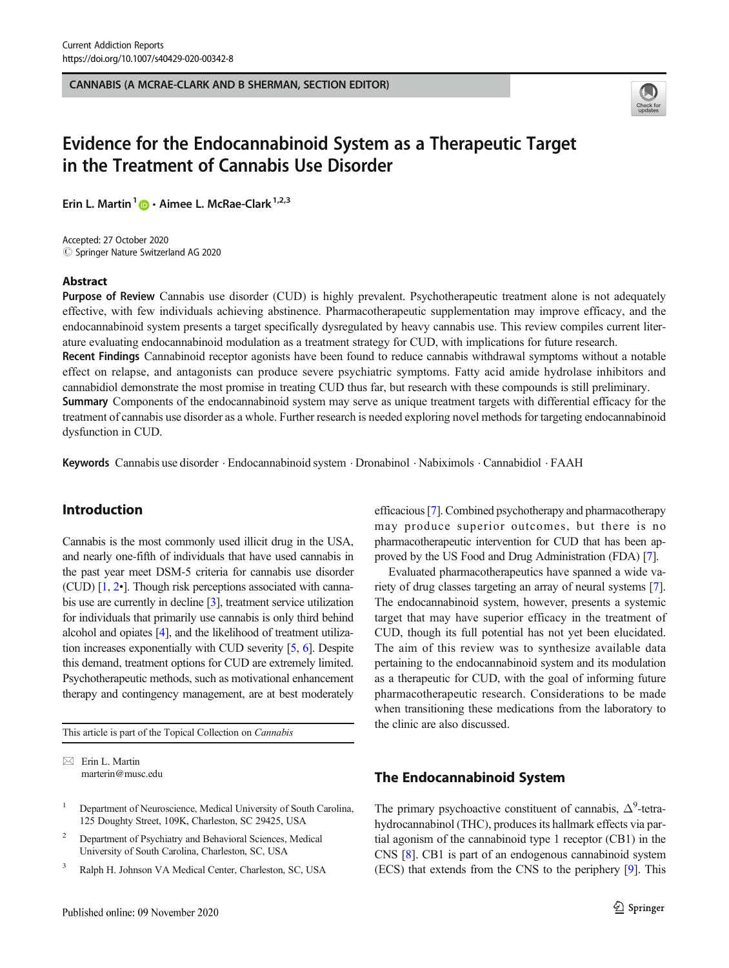CANNABIS (A MCRAE-CLARK AND B SHERMAN, SECTION EDITOR)



# Evidence for the Endocannabinoid System as a Therapeutic Target in the Treatment of Cannabis Use Disorder

Erin L. Martin<sup>1</sup>  $\bullet$  · Aimee L. McRae-Clark<sup>1,2,3</sup>

Accepted: 27 October 2020  $\odot$  Springer Nature Switzerland AG 2020

#### Abstract

Purpose of Review Cannabis use disorder (CUD) is highly prevalent. Psychotherapeutic treatment alone is not adequately effective, with few individuals achieving abstinence. Pharmacotherapeutic supplementation may improve efficacy, and the endocannabinoid system presents a target specifically dysregulated by heavy cannabis use. This review compiles current literature evaluating endocannabinoid modulation as a treatment strategy for CUD, with implications for future research. Recent Findings Cannabinoid receptor agonists have been found to reduce cannabis withdrawal symptoms without a notable effect on relapse, and antagonists can produce severe psychiatric symptoms. Fatty acid amide hydrolase inhibitors and cannabidiol demonstrate the most promise in treating CUD thus far, but research with these compounds is still preliminary. Summary Components of the endocannabinoid system may serve as unique treatment targets with differential efficacy for the treatment of cannabis use disorder as a whole. Further research is needed exploring novel methods for targeting endocannabinoid dysfunction in CUD.

Keywords Cannabis use disorder . Endocannabinoid system . Dronabinol . Nabiximols . Cannabidiol . FAAH

# Introduction

Cannabis is the most commonly used illicit drug in the USA, and nearly one-fifth of individuals that have used cannabis in the past year meet DSM-5 criteria for cannabis use disorder (CUD) [\[1,](#page-4-0) [2](#page-4-0)•]. Though risk perceptions associated with cannabis use are currently in decline [\[3\]](#page-4-0), treatment service utilization for individuals that primarily use cannabis is only third behind alcohol and opiates [\[4\]](#page-4-0), and the likelihood of treatment utilization increases exponentially with CUD severity [\[5](#page-4-0), [6](#page-4-0)]. Despite this demand, treatment options for CUD are extremely limited. Psychotherapeutic methods, such as motivational enhancement therapy and contingency management, are at best moderately

This article is part of the Topical Collection on Cannabis

 $\boxtimes$  Erin L. Martin [marterin@musc.edu](mailto:marterin@musc.edu)

- <sup>1</sup> Department of Neuroscience, Medical University of South Carolina, 125 Doughty Street, 109K, Charleston, SC 29425, USA
- <sup>2</sup> Department of Psychiatry and Behavioral Sciences, Medical University of South Carolina, Charleston, SC, USA
- <sup>3</sup> Ralph H. Johnson VA Medical Center, Charleston, SC, USA

efficacious [\[7\]](#page-4-0). Combined psychotherapy and pharmacotherapy may produce superior outcomes, but there is no pharmacotherapeutic intervention for CUD that has been approved by the US Food and Drug Administration (FDA) [\[7](#page-4-0)].

Evaluated pharmacotherapeutics have spanned a wide variety of drug classes targeting an array of neural systems [[7\]](#page-4-0). The endocannabinoid system, however, presents a systemic target that may have superior efficacy in the treatment of CUD, though its full potential has not yet been elucidated. The aim of this review was to synthesize available data pertaining to the endocannabinoid system and its modulation as a therapeutic for CUD, with the goal of informing future pharmacotherapeutic research. Considerations to be made when transitioning these medications from the laboratory to the clinic are also discussed.

## The Endocannabinoid System

The primary psychoactive constituent of cannabis,  $\Delta^9$ -tetrahydrocannabinol (THC), produces its hallmark effects via partial agonism of the cannabinoid type 1 receptor (CB1) in the CNS [\[8](#page-4-0)]. CB1 is part of an endogenous cannabinoid system (ECS) that extends from the CNS to the periphery [\[9](#page-4-0)]. This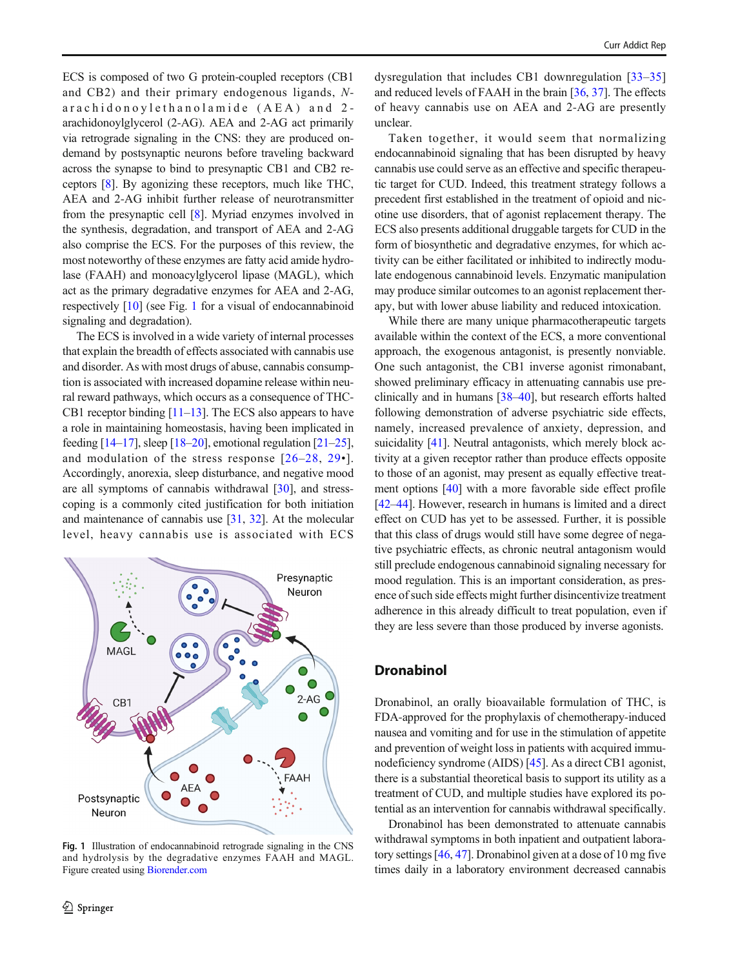ECS is composed of two G protein-coupled receptors (CB1 and CB2) and their primary endogenous ligands, Narachidonoylethanolamide (AEA) and 2 arachidonoylglycerol (2-AG). AEA and 2-AG act primarily via retrograde signaling in the CNS: they are produced ondemand by postsynaptic neurons before traveling backward across the synapse to bind to presynaptic CB1 and CB2 receptors [\[8\]](#page-4-0). By agonizing these receptors, much like THC, AEA and 2-AG inhibit further release of neurotransmitter from the presynaptic cell [[8\]](#page-4-0). Myriad enzymes involved in the synthesis, degradation, and transport of AEA and 2-AG also comprise the ECS. For the purposes of this review, the most noteworthy of these enzymes are fatty acid amide hydrolase (FAAH) and monoacylglycerol lipase (MAGL), which act as the primary degradative enzymes for AEA and 2-AG, respectively [[10](#page-5-0)] (see Fig. 1 for a visual of endocannabinoid signaling and degradation).

The ECS is involved in a wide variety of internal processes that explain the breadth of effects associated with cannabis use and disorder. As with most drugs of abuse, cannabis consumption is associated with increased dopamine release within neural reward pathways, which occurs as a consequence of THC-CB1 receptor binding  $[11-13]$  $[11-13]$  $[11-13]$  $[11-13]$  $[11-13]$ . The ECS also appears to have a role in maintaining homeostasis, having been implicated in feeding  $[14–17]$  $[14–17]$  $[14–17]$ , sleep  $[18–20]$  $[18–20]$  $[18–20]$ , emotional regulation  $[21–25]$  $[21–25]$  $[21–25]$ , and modulation of the stress response  $[26-28, 29]$  $[26-28, 29]$  $[26-28, 29]$  $[26-28, 29]$  $[26-28, 29]$  $[26-28, 29]$  $[26-28, 29]$ . Accordingly, anorexia, sleep disturbance, and negative mood are all symptoms of cannabis withdrawal [\[30](#page-5-0)], and stresscoping is a commonly cited justification for both initiation and maintenance of cannabis use [\[31](#page-5-0), [32\]](#page-5-0). At the molecular level, heavy cannabis use is associated with ECS



Fig. 1 Illustration of endocannabinoid retrograde signaling in the CNS and hydrolysis by the degradative enzymes FAAH and MAGL. Figure created using [Biorender.com](http://biorender.com)

dysregulation that includes CB1 downregulation [[33](#page-5-0)–[35](#page-5-0)] and reduced levels of FAAH in the brain [\[36,](#page-5-0) [37](#page-6-0)]. The effects of heavy cannabis use on AEA and 2-AG are presently unclear.

Taken together, it would seem that normalizing endocannabinoid signaling that has been disrupted by heavy cannabis use could serve as an effective and specific therapeutic target for CUD. Indeed, this treatment strategy follows a precedent first established in the treatment of opioid and nicotine use disorders, that of agonist replacement therapy. The ECS also presents additional druggable targets for CUD in the form of biosynthetic and degradative enzymes, for which activity can be either facilitated or inhibited to indirectly modulate endogenous cannabinoid levels. Enzymatic manipulation may produce similar outcomes to an agonist replacement therapy, but with lower abuse liability and reduced intoxication.

While there are many unique pharmacotherapeutic targets available within the context of the ECS, a more conventional approach, the exogenous antagonist, is presently nonviable. One such antagonist, the CB1 inverse agonist rimonabant, showed preliminary efficacy in attenuating cannabis use preclinically and in humans [\[38](#page-6-0)–[40\]](#page-6-0), but research efforts halted following demonstration of adverse psychiatric side effects, namely, increased prevalence of anxiety, depression, and suicidality [\[41](#page-6-0)]. Neutral antagonists, which merely block activity at a given receptor rather than produce effects opposite to those of an agonist, may present as equally effective treatment options [[40](#page-6-0)] with a more favorable side effect profile [\[42](#page-6-0)–[44\]](#page-6-0). However, research in humans is limited and a direct effect on CUD has yet to be assessed. Further, it is possible that this class of drugs would still have some degree of negative psychiatric effects, as chronic neutral antagonism would still preclude endogenous cannabinoid signaling necessary for mood regulation. This is an important consideration, as presence of such side effects might further disincentivize treatment adherence in this already difficult to treat population, even if they are less severe than those produced by inverse agonists.

### Dronabinol

Dronabinol, an orally bioavailable formulation of THC, is FDA-approved for the prophylaxis of chemotherapy-induced nausea and vomiting and for use in the stimulation of appetite and prevention of weight loss in patients with acquired immunodeficiency syndrome (AIDS) [[45\]](#page-6-0). As a direct CB1 agonist, there is a substantial theoretical basis to support its utility as a treatment of CUD, and multiple studies have explored its potential as an intervention for cannabis withdrawal specifically.

Dronabinol has been demonstrated to attenuate cannabis withdrawal symptoms in both inpatient and outpatient laboratory settings [[46,](#page-6-0) [47\]](#page-6-0). Dronabinol given at a dose of 10 mg five times daily in a laboratory environment decreased cannabis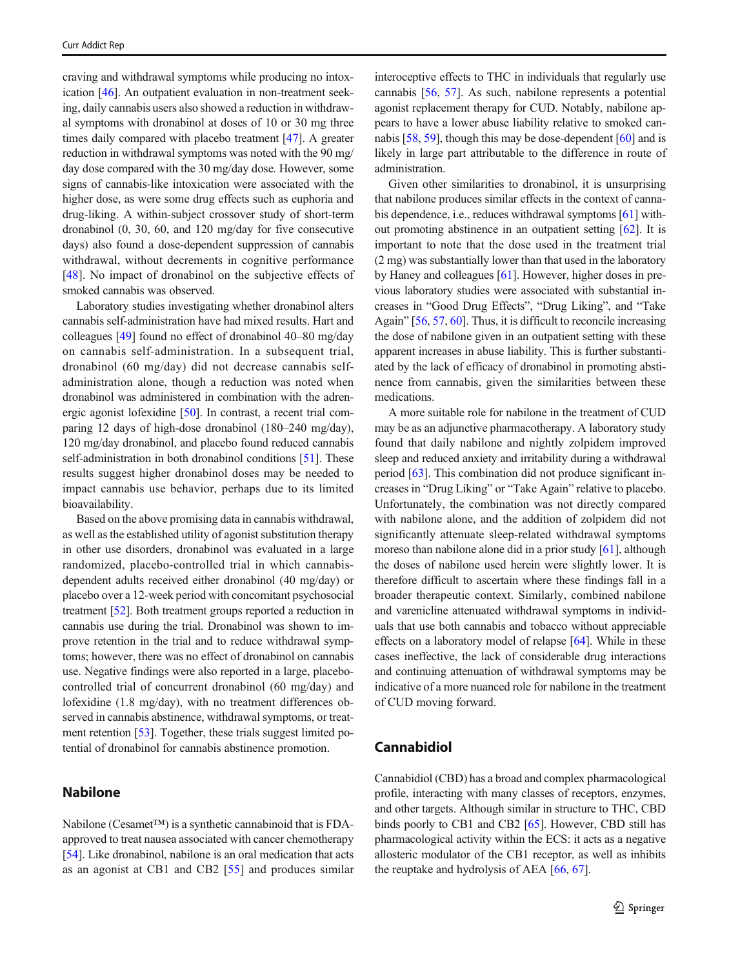craving and withdrawal symptoms while producing no intoxication [\[46](#page-6-0)]. An outpatient evaluation in non-treatment seeking, daily cannabis users also showed a reduction in withdrawal symptoms with dronabinol at doses of 10 or 30 mg three times daily compared with placebo treatment [\[47\]](#page-6-0). A greater reduction in withdrawal symptoms was noted with the 90 mg/ day dose compared with the 30 mg/day dose. However, some signs of cannabis-like intoxication were associated with the higher dose, as were some drug effects such as euphoria and drug-liking. A within-subject crossover study of short-term dronabinol (0, 30, 60, and 120 mg/day for five consecutive days) also found a dose-dependent suppression of cannabis withdrawal, without decrements in cognitive performance [\[48](#page-6-0)]. No impact of dronabinol on the subjective effects of smoked cannabis was observed.

Laboratory studies investigating whether dronabinol alters cannabis self-administration have had mixed results. Hart and colleagues [[49\]](#page-6-0) found no effect of dronabinol 40–80 mg/day on cannabis self-administration. In a subsequent trial, dronabinol (60 mg/day) did not decrease cannabis selfadministration alone, though a reduction was noted when dronabinol was administered in combination with the adrenergic agonist lofexidine [\[50\]](#page-6-0). In contrast, a recent trial comparing 12 days of high-dose dronabinol (180–240 mg/day), 120 mg/day dronabinol, and placebo found reduced cannabis self-administration in both dronabinol conditions [[51\]](#page-6-0). These results suggest higher dronabinol doses may be needed to impact cannabis use behavior, perhaps due to its limited bioavailability.

Based on the above promising data in cannabis withdrawal, as well as the established utility of agonist substitution therapy in other use disorders, dronabinol was evaluated in a large randomized, placebo-controlled trial in which cannabisdependent adults received either dronabinol (40 mg/day) or placebo over a 12-week period with concomitant psychosocial treatment [\[52\]](#page-6-0). Both treatment groups reported a reduction in cannabis use during the trial. Dronabinol was shown to improve retention in the trial and to reduce withdrawal symptoms; however, there was no effect of dronabinol on cannabis use. Negative findings were also reported in a large, placebocontrolled trial of concurrent dronabinol (60 mg/day) and lofexidine (1.8 mg/day), with no treatment differences observed in cannabis abstinence, withdrawal symptoms, or treatment retention [[53\]](#page-6-0). Together, these trials suggest limited potential of dronabinol for cannabis abstinence promotion.

## Nabilone

Nabilone (Cesamet™) is a synthetic cannabinoid that is FDAapproved to treat nausea associated with cancer chemotherapy [\[54\]](#page-6-0). Like dronabinol, nabilone is an oral medication that acts as an agonist at CB1 and CB2 [\[55](#page-6-0)] and produces similar

interoceptive effects to THC in individuals that regularly use cannabis [\[56](#page-6-0), [57](#page-6-0)]. As such, nabilone represents a potential agonist replacement therapy for CUD. Notably, nabilone appears to have a lower abuse liability relative to smoked cannabis [\[58,](#page-6-0) [59](#page-6-0)], though this may be dose-dependent [\[60](#page-6-0)] and is likely in large part attributable to the difference in route of administration.

Given other similarities to dronabinol, it is unsurprising that nabilone produces similar effects in the context of cannabis dependence, i.e., reduces withdrawal symptoms [[61\]](#page-6-0) without promoting abstinence in an outpatient setting [\[62](#page-6-0)]. It is important to note that the dose used in the treatment trial (2 mg) was substantially lower than that used in the laboratory by Haney and colleagues [\[61](#page-6-0)]. However, higher doses in previous laboratory studies were associated with substantial increases in "Good Drug Effects", "Drug Liking", and "Take Again" [\[56](#page-6-0), [57](#page-6-0), [60\]](#page-6-0). Thus, it is difficult to reconcile increasing the dose of nabilone given in an outpatient setting with these apparent increases in abuse liability. This is further substantiated by the lack of efficacy of dronabinol in promoting abstinence from cannabis, given the similarities between these medications.

A more suitable role for nabilone in the treatment of CUD may be as an adjunctive pharmacotherapy. A laboratory study found that daily nabilone and nightly zolpidem improved sleep and reduced anxiety and irritability during a withdrawal period [[63\]](#page-6-0). This combination did not produce significant increases in "Drug Liking" or "Take Again" relative to placebo. Unfortunately, the combination was not directly compared with nabilone alone, and the addition of zolpidem did not significantly attenuate sleep-related withdrawal symptoms moreso than nabilone alone did in a prior study [[61](#page-6-0)], although the doses of nabilone used herein were slightly lower. It is therefore difficult to ascertain where these findings fall in a broader therapeutic context. Similarly, combined nabilone and varenicline attenuated withdrawal symptoms in individuals that use both cannabis and tobacco without appreciable effects on a laboratory model of relapse [[64\]](#page-6-0). While in these cases ineffective, the lack of considerable drug interactions and continuing attenuation of withdrawal symptoms may be indicative of a more nuanced role for nabilone in the treatment of CUD moving forward.

# Cannabidiol

Cannabidiol (CBD) has a broad and complex pharmacological profile, interacting with many classes of receptors, enzymes, and other targets. Although similar in structure to THC, CBD binds poorly to CB1 and CB2 [\[65](#page-6-0)]. However, CBD still has pharmacological activity within the ECS: it acts as a negative allosteric modulator of the CB1 receptor, as well as inhibits the reuptake and hydrolysis of AEA [[66,](#page-6-0) [67](#page-7-0)].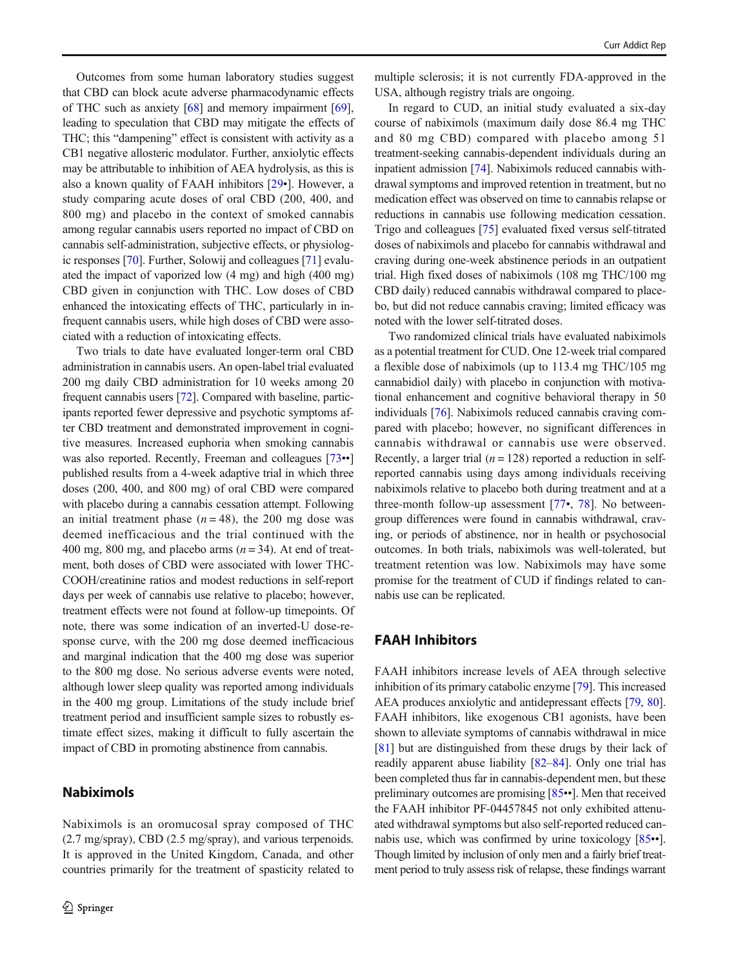Outcomes from some human laboratory studies suggest that CBD can block acute adverse pharmacodynamic effects of THC such as anxiety [\[68\]](#page-7-0) and memory impairment [[69\]](#page-7-0), leading to speculation that CBD may mitigate the effects of THC; this "dampening" effect is consistent with activity as a CB1 negative allosteric modulator. Further, anxiolytic effects may be attributable to inhibition of AEA hydrolysis, as this is also a known quality of FAAH inhibitors [[29](#page-5-0)•]. However, a study comparing acute doses of oral CBD (200, 400, and 800 mg) and placebo in the context of smoked cannabis among regular cannabis users reported no impact of CBD on cannabis self-administration, subjective effects, or physiologic responses [\[70](#page-7-0)]. Further, Solowij and colleagues [[71](#page-7-0)] evaluated the impact of vaporized low (4 mg) and high (400 mg) CBD given in conjunction with THC. Low doses of CBD enhanced the intoxicating effects of THC, particularly in infrequent cannabis users, while high doses of CBD were associated with a reduction of intoxicating effects.

Two trials to date have evaluated longer-term oral CBD administration in cannabis users. An open-label trial evaluated 200 mg daily CBD administration for 10 weeks among 20 frequent cannabis users [\[72](#page-7-0)]. Compared with baseline, participants reported fewer depressive and psychotic symptoms after CBD treatment and demonstrated improvement in cognitive measures. Increased euphoria when smoking cannabis was also reported. Recently, Freeman and colleagues [\[73](#page-7-0)••] published results from a 4-week adaptive trial in which three doses (200, 400, and 800 mg) of oral CBD were compared with placebo during a cannabis cessation attempt. Following an initial treatment phase  $(n = 48)$ , the 200 mg dose was deemed inefficacious and the trial continued with the 400 mg, 800 mg, and placebo arms ( $n = 34$ ). At end of treatment, both doses of CBD were associated with lower THC-COOH/creatinine ratios and modest reductions in self-report days per week of cannabis use relative to placebo; however, treatment effects were not found at follow-up timepoints. Of note, there was some indication of an inverted-U dose-response curve, with the 200 mg dose deemed inefficacious and marginal indication that the 400 mg dose was superior to the 800 mg dose. No serious adverse events were noted, although lower sleep quality was reported among individuals in the 400 mg group. Limitations of the study include brief treatment period and insufficient sample sizes to robustly estimate effect sizes, making it difficult to fully ascertain the impact of CBD in promoting abstinence from cannabis.

## Nabiximols

Nabiximols is an oromucosal spray composed of THC (2.7 mg/spray), CBD (2.5 mg/spray), and various terpenoids. It is approved in the United Kingdom, Canada, and other countries primarily for the treatment of spasticity related to multiple sclerosis; it is not currently FDA-approved in the USA, although registry trials are ongoing.

In regard to CUD, an initial study evaluated a six-day course of nabiximols (maximum daily dose 86.4 mg THC and 80 mg CBD) compared with placebo among 51 treatment-seeking cannabis-dependent individuals during an inpatient admission [[74\]](#page-7-0). Nabiximols reduced cannabis withdrawal symptoms and improved retention in treatment, but no medication effect was observed on time to cannabis relapse or reductions in cannabis use following medication cessation. Trigo and colleagues [\[75](#page-7-0)] evaluated fixed versus self-titrated doses of nabiximols and placebo for cannabis withdrawal and craving during one-week abstinence periods in an outpatient trial. High fixed doses of nabiximols (108 mg THC/100 mg CBD daily) reduced cannabis withdrawal compared to placebo, but did not reduce cannabis craving; limited efficacy was noted with the lower self-titrated doses.

Two randomized clinical trials have evaluated nabiximols as a potential treatment for CUD. One 12-week trial compared a flexible dose of nabiximols (up to 113.4 mg THC/105 mg cannabidiol daily) with placebo in conjunction with motivational enhancement and cognitive behavioral therapy in 50 individuals [\[76\]](#page-7-0). Nabiximols reduced cannabis craving compared with placebo; however, no significant differences in cannabis withdrawal or cannabis use were observed. Recently, a larger trial  $(n = 128)$  reported a reduction in selfreported cannabis using days among individuals receiving nabiximols relative to placebo both during treatment and at a three-month follow-up assessment [[77](#page-7-0)•, [78](#page-7-0)]. No betweengroup differences were found in cannabis withdrawal, craving, or periods of abstinence, nor in health or psychosocial outcomes. In both trials, nabiximols was well-tolerated, but treatment retention was low. Nabiximols may have some promise for the treatment of CUD if findings related to cannabis use can be replicated.

# FAAH Inhibitors

FAAH inhibitors increase levels of AEA through selective inhibition of its primary catabolic enzyme [\[79](#page-7-0)]. This increased AEA produces anxiolytic and antidepressant effects [\[79,](#page-7-0) [80\]](#page-7-0). FAAH inhibitors, like exogenous CB1 agonists, have been shown to alleviate symptoms of cannabis withdrawal in mice [\[81](#page-7-0)] but are distinguished from these drugs by their lack of readily apparent abuse liability [[82](#page-7-0)–[84\]](#page-7-0). Only one trial has been completed thus far in cannabis-dependent men, but these preliminary outcomes are promising [[85](#page-7-0)••]. Men that received the FAAH inhibitor PF-04457845 not only exhibited attenuated withdrawal symptoms but also self-reported reduced cannabis use, which was confirmed by urine toxicology [\[85](#page-7-0)••]. Though limited by inclusion of only men and a fairly brief treatment period to truly assess risk of relapse, these findings warrant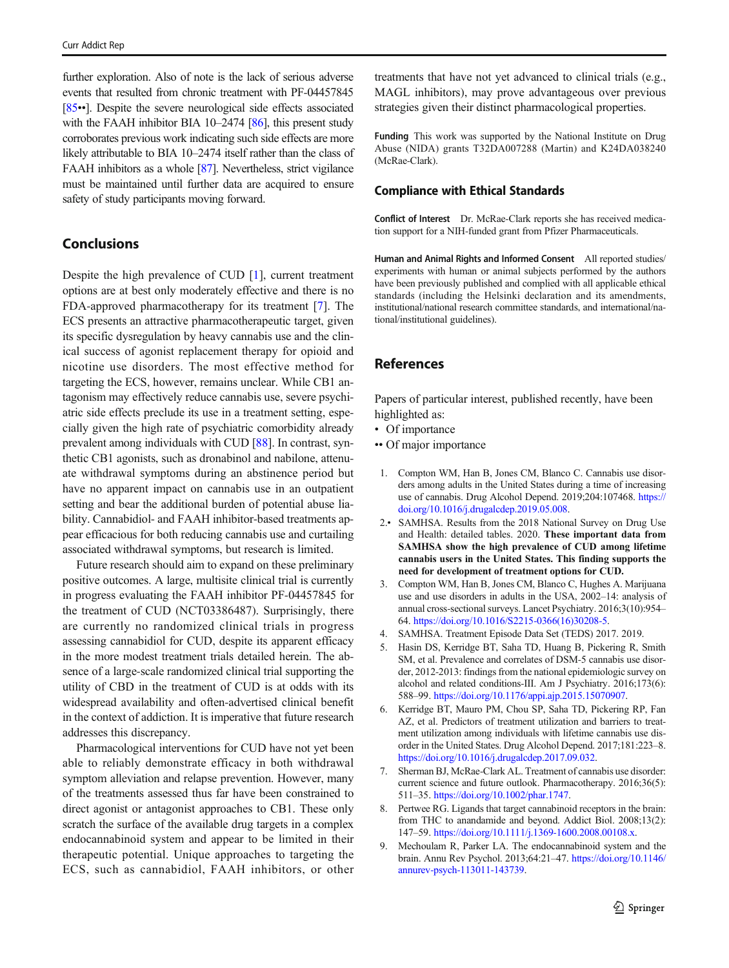<span id="page-4-0"></span>further exploration. Also of note is the lack of serious adverse events that resulted from chronic treatment with PF-04457845 [\[85](#page-7-0)••]. Despite the severe neurological side effects associated with the FAAH inhibitor BIA 10–2474 [[86](#page-7-0)], this present study corroborates previous work indicating such side effects are more likely attributable to BIA 10–2474 itself rather than the class of FAAH inhibitors as a whole [\[87\]](#page-7-0). Nevertheless, strict vigilance must be maintained until further data are acquired to ensure safety of study participants moving forward.

## Conclusions

Despite the high prevalence of CUD [1], current treatment options are at best only moderately effective and there is no FDA-approved pharmacotherapy for its treatment [7]. The ECS presents an attractive pharmacotherapeutic target, given its specific dysregulation by heavy cannabis use and the clinical success of agonist replacement therapy for opioid and nicotine use disorders. The most effective method for targeting the ECS, however, remains unclear. While CB1 antagonism may effectively reduce cannabis use, severe psychiatric side effects preclude its use in a treatment setting, especially given the high rate of psychiatric comorbidity already prevalent among individuals with CUD [\[88\]](#page-7-0). In contrast, synthetic CB1 agonists, such as dronabinol and nabilone, attenuate withdrawal symptoms during an abstinence period but have no apparent impact on cannabis use in an outpatient setting and bear the additional burden of potential abuse liability. Cannabidiol- and FAAH inhibitor-based treatments appear efficacious for both reducing cannabis use and curtailing associated withdrawal symptoms, but research is limited.

Future research should aim to expand on these preliminary positive outcomes. A large, multisite clinical trial is currently in progress evaluating the FAAH inhibitor PF-04457845 for the treatment of CUD (NCT03386487). Surprisingly, there are currently no randomized clinical trials in progress assessing cannabidiol for CUD, despite its apparent efficacy in the more modest treatment trials detailed herein. The absence of a large-scale randomized clinical trial supporting the utility of CBD in the treatment of CUD is at odds with its widespread availability and often-advertised clinical benefit in the context of addiction. It is imperative that future research addresses this discrepancy.

Pharmacological interventions for CUD have not yet been able to reliably demonstrate efficacy in both withdrawal symptom alleviation and relapse prevention. However, many of the treatments assessed thus far have been constrained to direct agonist or antagonist approaches to CB1. These only scratch the surface of the available drug targets in a complex endocannabinoid system and appear to be limited in their therapeutic potential. Unique approaches to targeting the ECS, such as cannabidiol, FAAH inhibitors, or other

treatments that have not yet advanced to clinical trials (e.g., MAGL inhibitors), may prove advantageous over previous strategies given their distinct pharmacological properties.

Funding This work was supported by the National Institute on Drug Abuse (NIDA) grants T32DA007288 (Martin) and K24DA038240 (McRae-Clark).

#### Compliance with Ethical Standards

Conflict of Interest Dr. McRae-Clark reports she has received medication support for a NIH-funded grant from Pfizer Pharmaceuticals.

Human and Animal Rights and Informed Consent All reported studies/ experiments with human or animal subjects performed by the authors have been previously published and complied with all applicable ethical standards (including the Helsinki declaration and its amendments, institutional/national research committee standards, and international/national/institutional guidelines).

#### References

Papers of particular interest, published recently, have been highlighted as:

- Of importance
- •• Of major importance
- 1. Compton WM, Han B, Jones CM, Blanco C. Cannabis use disorders among adults in the United States during a time of increasing use of cannabis. Drug Alcohol Depend. 2019;204:107468. [https://](https://doi.org/10.1016/j.drugalcdep.2019.05.008) [doi.org/10.1016/j.drugalcdep.2019.05.008.](https://doi.org/10.1016/j.drugalcdep.2019.05.008)
- 2.• SAMHSA. Results from the 2018 National Survey on Drug Use and Health: detailed tables. 2020. These important data from SAMHSA show the high prevalence of CUD among lifetime cannabis users in the United States. This finding supports the need for development of treatment options for CUD.
- 3. Compton WM, Han B, Jones CM, Blanco C, Hughes A. Marijuana use and use disorders in adults in the USA, 2002–14: analysis of annual cross-sectional surveys. Lancet Psychiatry. 2016;3(10):954– 64. [https://doi.org/10.1016/S2215-0366\(16\)30208-5](https://doi.org/10.1016/S2215-0366(16)30208-5).
- 4. SAMHSA. Treatment Episode Data Set (TEDS) 2017. 2019.
- 5. Hasin DS, Kerridge BT, Saha TD, Huang B, Pickering R, Smith SM, et al. Prevalence and correlates of DSM-5 cannabis use disorder, 2012-2013: findings from the national epidemiologic survey on alcohol and related conditions-III. Am J Psychiatry. 2016;173(6): 588–99. <https://doi.org/10.1176/appi.ajp.2015.15070907>.
- 6. Kerridge BT, Mauro PM, Chou SP, Saha TD, Pickering RP, Fan AZ, et al. Predictors of treatment utilization and barriers to treatment utilization among individuals with lifetime cannabis use disorder in the United States. Drug Alcohol Depend. 2017;181:223–8. <https://doi.org/10.1016/j.drugalcdep.2017.09.032>.
- 7. Sherman BJ, McRae-Clark AL. Treatment of cannabis use disorder: current science and future outlook. Pharmacotherapy. 2016;36(5): 511–35. [https://doi.org/10.1002/phar.1747.](https://doi.org/10.1002/phar.1747)
- 8. Pertwee RG. Ligands that target cannabinoid receptors in the brain: from THC to anandamide and beyond. Addict Biol. 2008;13(2): 147–59. [https://doi.org/10.1111/j.1369-1600.2008.00108.x.](https://doi.org/10.1111/j.1369-1600.2008.00108.x)
- 9. Mechoulam R, Parker LA. The endocannabinoid system and the brain. Annu Rev Psychol. 2013;64:21–47. [https://doi.org/10.1146/](https://doi.org/10.1146/annurev-psych-113011-143739) [annurev-psych-113011-143739](https://doi.org/10.1146/annurev-psych-113011-143739).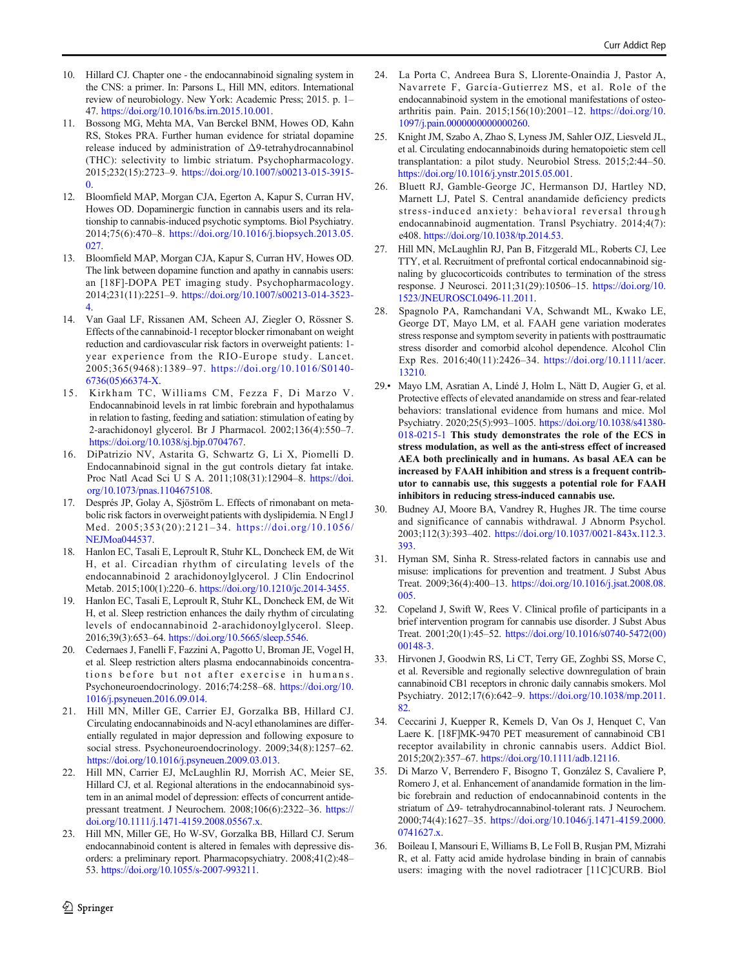- <span id="page-5-0"></span>10. Hillard CJ. Chapter one - the endocannabinoid signaling system in the CNS: a primer. In: Parsons L, Hill MN, editors. International review of neurobiology. New York: Academic Press; 2015. p. 1– 47. <https://doi.org/10.1016/bs.irn.2015.10.001>.
- 11. Bossong MG, Mehta MA, Van Berckel BNM, Howes OD, Kahn RS, Stokes PRA. Further human evidence for striatal dopamine release induced by administration of Δ9-tetrahydrocannabinol (THC): selectivity to limbic striatum. Psychopharmacology. 2015;232(15):2723–9. [https://doi.org/10.1007/s00213-015-3915-](https://doi.org/10.1007/s00213-015-3915-0) [0](https://doi.org/10.1007/s00213-015-3915-0).
- 12. Bloomfield MAP, Morgan CJA, Egerton A, Kapur S, Curran HV, Howes OD. Dopaminergic function in cannabis users and its relationship to cannabis-induced psychotic symptoms. Biol Psychiatry. 2014;75(6):470–8. [https://doi.org/10.1016/j.biopsych.2013.05.](https://doi.org/10.1016/j.biopsych.2013.05.027) [027](https://doi.org/10.1016/j.biopsych.2013.05.027)
- 13. Bloomfield MAP, Morgan CJA, Kapur S, Curran HV, Howes OD. The link between dopamine function and apathy in cannabis users: an [18F]-DOPA PET imaging study. Psychopharmacology. 2014;231(11):2251–9. [https://doi.org/10.1007/s00213-014-3523-](https://doi.org/10.1007/s00213-014-3523-4) [4](https://doi.org/10.1007/s00213-014-3523-4).
- 14. Van Gaal LF, Rissanen AM, Scheen AJ, Ziegler O, Rössner S. Effects of the cannabinoid-1 receptor blocker rimonabant on weight reduction and cardiovascular risk factors in overweight patients: 1 year experience from the RIO-Europe study. Lancet. 2005;365(9468):1389–97. [https://doi.org/10.1016/S0140-](https://doi.org/10.1016/S0140-6736(05)66374-X) [6736\(05\)66374-X.](https://doi.org/10.1016/S0140-6736(05)66374-X)
- 15. Kirkham TC, Williams CM, Fezza F, Di Marzo V. Endocannabinoid levels in rat limbic forebrain and hypothalamus in relation to fasting, feeding and satiation: stimulation of eating by 2-arachidonoyl glycerol. Br J Pharmacol. 2002;136(4):550–7. [https://doi.org/10.1038/sj.bjp.0704767.](https://doi.org/10.1038/sj.bjp.0704767)
- 16. DiPatrizio NV, Astarita G, Schwartz G, Li X, Piomelli D. Endocannabinoid signal in the gut controls dietary fat intake. Proc Natl Acad Sci U S A. 2011;108(31):12904–8. [https://doi.](https://doi.org/10.1073/pnas.1104675108) [org/10.1073/pnas.1104675108.](https://doi.org/10.1073/pnas.1104675108)
- 17. Després JP, Golay A, Sjöström L. Effects of rimonabant on metabolic risk factors in overweight patients with dyslipidemia. N Engl J Med. 2005;353(20):2121–34. [https://doi.org/10.1056/](https://doi.org/10.1056/NEJMoa044537) NEIMoa044537
- 18. Hanlon EC, Tasali E, Leproult R, Stuhr KL, Doncheck EM, de Wit H, et al. Circadian rhythm of circulating levels of the endocannabinoid 2 arachidonoylglycerol. J Clin Endocrinol Metab. 2015;100(1):220–6. [https://doi.org/10.1210/jc.2014-3455.](https://doi.org/10.1210/jc.2014-3455)
- 19. Hanlon EC, Tasali E, Leproult R, Stuhr KL, Doncheck EM, de Wit H, et al. Sleep restriction enhances the daily rhythm of circulating levels of endocannabinoid 2-arachidonoylglycerol. Sleep. 2016;39(3):653–64. <https://doi.org/10.5665/sleep.5546>.
- 20. Cedernaes J, Fanelli F, Fazzini A, Pagotto U, Broman JE, Vogel H, et al. Sleep restriction alters plasma endocannabinoids concentrations before but not after exercise in humans. Psychoneuroendocrinology. 2016;74:258–68. [https://doi.org/10.](https://doi.org/10.1016/j.psyneuen.2016.09.014) [1016/j.psyneuen.2016.09.014](https://doi.org/10.1016/j.psyneuen.2016.09.014).
- 21. Hill MN, Miller GE, Carrier EJ, Gorzalka BB, Hillard CJ. Circulating endocannabinoids and N-acyl ethanolamines are differentially regulated in major depression and following exposure to social stress. Psychoneuroendocrinology. 2009;34(8):1257–62. [https://doi.org/10.1016/j.psyneuen.2009.03.013.](https://doi.org/10.1016/j.psyneuen.2009.03.013)
- 22. Hill MN, Carrier EJ, McLaughlin RJ, Morrish AC, Meier SE, Hillard CJ, et al. Regional alterations in the endocannabinoid system in an animal model of depression: effects of concurrent antidepressant treatment. J Neurochem. 2008;106(6):2322–36. [https://](https://doi.org/10.1111/j.1471-4159.2008.05567.x) [doi.org/10.1111/j.1471-4159.2008.05567.x](https://doi.org/10.1111/j.1471-4159.2008.05567.x).
- 23. Hill MN, Miller GE, Ho W-SV, Gorzalka BB, Hillard CJ. Serum endocannabinoid content is altered in females with depressive disorders: a preliminary report. Pharmacopsychiatry. 2008;41(2):48– 53. <https://doi.org/10.1055/s-2007-993211>.
- 24. La Porta C, Andreea Bura S, Llorente-Onaindia J, Pastor A, Navarrete F, García-Gutierrez MS, et al. Role of the endocannabinoid system in the emotional manifestations of osteoarthritis pain. Pain. 2015;156(10):2001–12. [https://doi.org/10.](https://doi.org/10.1097/j.pain.0000000000000260) [1097/j.pain.0000000000000260](https://doi.org/10.1097/j.pain.0000000000000260).
- 25. Knight JM, Szabo A, Zhao S, Lyness JM, Sahler OJZ, Liesveld JL, et al. Circulating endocannabinoids during hematopoietic stem cell transplantation: a pilot study. Neurobiol Stress. 2015;2:44–50. [https://doi.org/10.1016/j.ynstr.2015.05.001.](https://doi.org/10.1016/j.ynstr.2015.05.001)
- 26. Bluett RJ, Gamble-George JC, Hermanson DJ, Hartley ND, Marnett LJ, Patel S. Central anandamide deficiency predicts stress-induced anxiety: behavioral reversal through endocannabinoid augmentation. Transl Psychiatry. 2014;4(7): e408. [https://doi.org/10.1038/tp.2014.53.](https://doi.org/10.1038/tp.2014.53)
- 27. Hill MN, McLaughlin RJ, Pan B, Fitzgerald ML, Roberts CJ, Lee TTY, et al. Recruitment of prefrontal cortical endocannabinoid signaling by glucocorticoids contributes to termination of the stress response. J Neurosci. 2011;31(29):10506–15. [https://doi.org/10.](https://doi.org/10.1523/JNEUROSCI.0496-11.2011) [1523/JNEUROSCI.0496-11.2011](https://doi.org/10.1523/JNEUROSCI.0496-11.2011).
- 28. Spagnolo PA, Ramchandani VA, Schwandt ML, Kwako LE, George DT, Mayo LM, et al. FAAH gene variation moderates stress response and symptom severity in patients with posttraumatic stress disorder and comorbid alcohol dependence. Alcohol Clin Exp Res. 2016;40(11):2426–34. [https://doi.org/10.1111/acer.](https://doi.org/10.1111/acer.13210) [13210.](https://doi.org/10.1111/acer.13210)
- 29.• Mayo LM, Asratian A, Lindé J, Holm L, Nätt D, Augier G, et al. Protective effects of elevated anandamide on stress and fear-related behaviors: translational evidence from humans and mice. Mol Psychiatry. 2020;25(5):993–1005. [https://doi.org/10.1038/s41380-](https://doi.org/10.1038/s41380-018-0215-1) [018-0215-1](https://doi.org/10.1038/s41380-018-0215-1) This study demonstrates the role of the ECS in stress modulation, as well as the anti-stress effect of increased AEA both preclinically and in humans. As basal AEA can be increased by FAAH inhibition and stress is a frequent contributor to cannabis use, this suggests a potential role for FAAH inhibitors in reducing stress-induced cannabis use.
- 30. Budney AJ, Moore BA, Vandrey R, Hughes JR. The time course and significance of cannabis withdrawal. J Abnorm Psychol. 2003;112(3):393–402. [https://doi.org/10.1037/0021-843x.112.3.](https://doi.org/10.1037/0021-843x.112.3.393) [393.](https://doi.org/10.1037/0021-843x.112.3.393)
- 31. Hyman SM, Sinha R. Stress-related factors in cannabis use and misuse: implications for prevention and treatment. J Subst Abus Treat. 2009;36(4):400–13. [https://doi.org/10.1016/j.jsat.2008.08.](https://doi.org/10.1016/j.jsat.2008.08.005) [005.](https://doi.org/10.1016/j.jsat.2008.08.005)
- 32. Copeland J, Swift W, Rees V. Clinical profile of participants in a brief intervention program for cannabis use disorder. J Subst Abus Treat. 2001;20(1):45–52. [https://doi.org/10.1016/s0740-5472\(00\)](https://doi.org/10.1016/s0740-5472(00)00148-3) [00148-3.](https://doi.org/10.1016/s0740-5472(00)00148-3)
- 33. Hirvonen J, Goodwin RS, Li CT, Terry GE, Zoghbi SS, Morse C, et al. Reversible and regionally selective downregulation of brain cannabinoid CB1 receptors in chronic daily cannabis smokers. Mol Psychiatry. 2012;17(6):642–9. [https://doi.org/10.1038/mp.2011.](https://doi.org/10.1038/mp.2011.82) [82](https://doi.org/10.1038/mp.2011.82).
- 34. Ceccarini J, Kuepper R, Kemels D, Van Os J, Henquet C, Van Laere K. [18F]MK-9470 PET measurement of cannabinoid CB1 receptor availability in chronic cannabis users. Addict Biol. 2015;20(2):357–67. [https://doi.org/10.1111/adb.12116.](https://doi.org/10.1111/adb.12116)
- 35. Di Marzo V, Berrendero F, Bisogno T, González S, Cavaliere P, Romero J, et al. Enhancement of anandamide formation in the limbic forebrain and reduction of endocannabinoid contents in the striatum of Δ9- tetrahydrocannabinol-tolerant rats. J Neurochem. 2000;74(4):1627–35. [https://doi.org/10.1046/j.1471-4159.2000.](https://doi.org/10.1046/j.1471-4159.2000.0741627.x) [0741627.x](https://doi.org/10.1046/j.1471-4159.2000.0741627.x).
- 36. Boileau I, Mansouri E, Williams B, Le Foll B, Rusjan PM, Mizrahi R, et al. Fatty acid amide hydrolase binding in brain of cannabis users: imaging with the novel radiotracer [11C]CURB. Biol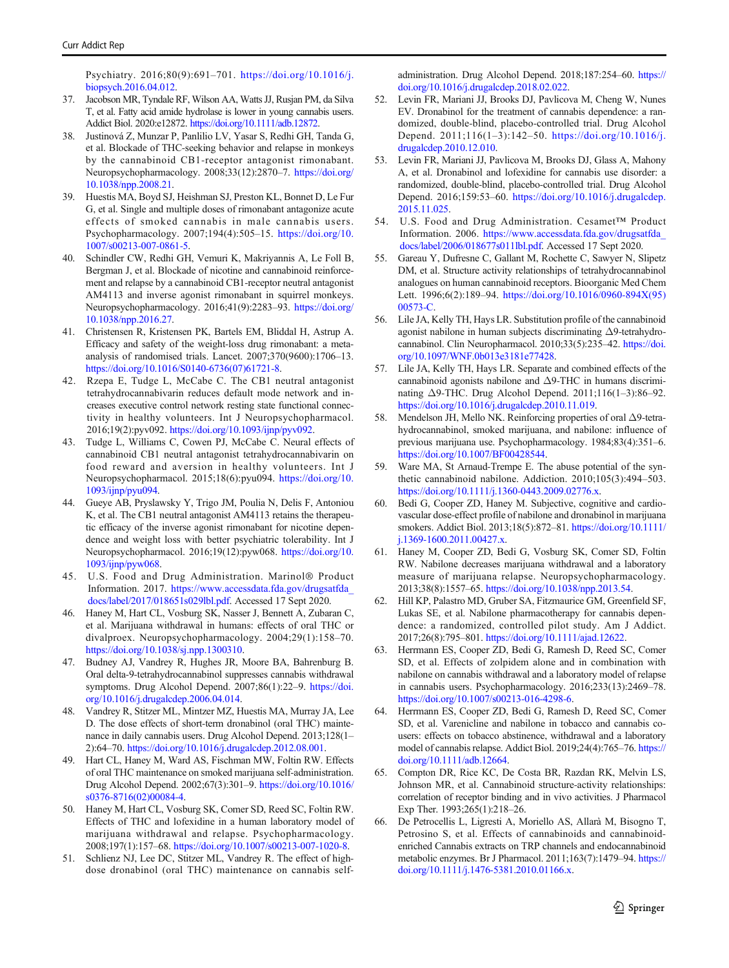<span id="page-6-0"></span>Psychiatry. 2016;80(9):691–701. [https://doi.org/10.1016/j.](https://doi.org/10.1016/j.biopsych.2016.04.012) [biopsych.2016.04.012.](https://doi.org/10.1016/j.biopsych.2016.04.012)

- 37. Jacobson MR, Tyndale RF, Wilson AA, Watts JJ, Rusjan PM, da Silva T, et al. Fatty acid amide hydrolase is lower in young cannabis users. Addict Biol. 2020:e12872. [https://doi.org/10.1111/adb.12872.](https://doi.org/10.1111/adb.12872)
- 38. Justinová Z, Munzar P, Panlilio LV, Yasar S, Redhi GH, Tanda G, et al. Blockade of THC-seeking behavior and relapse in monkeys by the cannabinoid CB1-receptor antagonist rimonabant. Neuropsychopharmacology. 2008;33(12):2870–7. [https://doi.org/](https://doi.org/10.1038/npp.2008.21) [10.1038/npp.2008.21](https://doi.org/10.1038/npp.2008.21).
- 39. Huestis MA, Boyd SJ, Heishman SJ, Preston KL, Bonnet D, Le Fur G, et al. Single and multiple doses of rimonabant antagonize acute effects of smoked cannabis in male cannabis users. Psychopharmacology. 2007;194(4):505–15. [https://doi.org/10.](https://doi.org/10.1007/s00213-007-0861-5) [1007/s00213-007-0861-5.](https://doi.org/10.1007/s00213-007-0861-5)
- 40. Schindler CW, Redhi GH, Vemuri K, Makriyannis A, Le Foll B, Bergman J, et al. Blockade of nicotine and cannabinoid reinforcement and relapse by a cannabinoid CB1-receptor neutral antagonist AM4113 and inverse agonist rimonabant in squirrel monkeys. Neuropsychopharmacology. 2016;41(9):2283–93. [https://doi.org/](https://doi.org/10.1038/npp.2016.27) [10.1038/npp.2016.27](https://doi.org/10.1038/npp.2016.27).
- 41. Christensen R, Kristensen PK, Bartels EM, Bliddal H, Astrup A. Efficacy and safety of the weight-loss drug rimonabant: a metaanalysis of randomised trials. Lancet. 2007;370(9600):1706–13. [https://doi.org/10.1016/S0140-6736\(07\)61721-8](https://doi.org/10.1016/S0140-6736(07)61721-8).
- 42. Rzepa E, Tudge L, McCabe C. The CB1 neutral antagonist tetrahydrocannabivarin reduces default mode network and increases executive control network resting state functional connectivity in healthy volunteers. Int J Neuropsychopharmacol. 2016;19(2):pyv092. <https://doi.org/10.1093/ijnp/pyv092>.
- 43. Tudge L, Williams C, Cowen PJ, McCabe C. Neural effects of cannabinoid CB1 neutral antagonist tetrahydrocannabivarin on food reward and aversion in healthy volunteers. Int J Neuropsychopharmacol. 2015;18(6):pyu094. [https://doi.org/10.](https://doi.org/10.1093/ijnp/pyu094) [1093/ijnp/pyu094.](https://doi.org/10.1093/ijnp/pyu094)
- 44. Gueye AB, Pryslawsky Y, Trigo JM, Poulia N, Delis F, Antoniou K, et al. The CB1 neutral antagonist AM4113 retains the therapeutic efficacy of the inverse agonist rimonabant for nicotine dependence and weight loss with better psychiatric tolerability. Int J Neuropsychopharmacol. 2016;19(12):pyw068. [https://doi.org/10.](https://doi.org/10.1093/ijnp/pyw068) [1093/ijnp/pyw068](https://doi.org/10.1093/ijnp/pyw068).
- 45. U.S. Food and Drug Administration. Marinol® Product Information. 2017. [https://www.accessdata.fda.gov/drugsatfda\\_](https://www.accessdata.fda.gov/drugsatfda_docs/label/2017/018651s029lbl.pdf) [docs/label/2017/018651s029lbl.pdf.](https://www.accessdata.fda.gov/drugsatfda_docs/label/2017/018651s029lbl.pdf) Accessed 17 Sept 2020.
- 46. Haney M, Hart CL, Vosburg SK, Nasser J, Bennett A, Zubaran C, et al. Marijuana withdrawal in humans: effects of oral THC or divalproex. Neuropsychopharmacology. 2004;29(1):158–70. [https://doi.org/10.1038/sj.npp.1300310.](https://doi.org/10.1038/sj.npp.1300310)
- 47. Budney AJ, Vandrey R, Hughes JR, Moore BA, Bahrenburg B. Oral delta-9-tetrahydrocannabinol suppresses cannabis withdrawal symptoms. Drug Alcohol Depend. 2007;86(1):22–9. [https://doi.](https://doi.org/10.1016/j.drugalcdep.2006.04.014) [org/10.1016/j.drugalcdep.2006.04.014](https://doi.org/10.1016/j.drugalcdep.2006.04.014).
- 48. Vandrey R, Stitzer ML, Mintzer MZ, Huestis MA, Murray JA, Lee D. The dose effects of short-term dronabinol (oral THC) maintenance in daily cannabis users. Drug Alcohol Depend. 2013;128(1– 2):64–70. [https://doi.org/10.1016/j.drugalcdep.2012.08.001.](https://doi.org/10.1016/j.drugalcdep.2012.08.001)
- 49. Hart CL, Haney M, Ward AS, Fischman MW, Foltin RW. Effects of oral THC maintenance on smoked marijuana self-administration. Drug Alcohol Depend. 2002;67(3):301–9. [https://doi.org/10.1016/](https://doi.org/10.1016/s0376-8716(02)00084-4) [s0376-8716\(02\)00084-4.](https://doi.org/10.1016/s0376-8716(02)00084-4)
- 50. Haney M, Hart CL, Vosburg SK, Comer SD, Reed SC, Foltin RW. Effects of THC and lofexidine in a human laboratory model of marijuana withdrawal and relapse. Psychopharmacology. 2008;197(1):157–68. [https://doi.org/10.1007/s00213-007-1020-8.](https://doi.org/10.1007/s00213-007-1020-8)
- 51. Schlienz NJ, Lee DC, Stitzer ML, Vandrey R. The effect of highdose dronabinol (oral THC) maintenance on cannabis self-

administration. Drug Alcohol Depend. 2018;187:254–60. [https://](https://doi.org/10.1016/j.drugalcdep.2018.02.022) [doi.org/10.1016/j.drugalcdep.2018.02.022.](https://doi.org/10.1016/j.drugalcdep.2018.02.022)

- 52. Levin FR, Mariani JJ, Brooks DJ, Pavlicova M, Cheng W, Nunes EV. Dronabinol for the treatment of cannabis dependence: a randomized, double-blind, placebo-controlled trial. Drug Alcohol Depend. 2011;116(1–3):142–50. [https://doi.org/10.1016/j.](https://doi.org/10.1016/j.drugalcdep.2010.12.010) [drugalcdep.2010.12.010.](https://doi.org/10.1016/j.drugalcdep.2010.12.010)
- 53. Levin FR, Mariani JJ, Pavlicova M, Brooks DJ, Glass A, Mahony A, et al. Dronabinol and lofexidine for cannabis use disorder: a randomized, double-blind, placebo-controlled trial. Drug Alcohol Depend. 2016;159:53–60. [https://doi.org/10.1016/j.drugalcdep.](https://doi.org/10.1016/j.drugalcdep.2015.11.025) [2015.11.025](https://doi.org/10.1016/j.drugalcdep.2015.11.025).
- 54. U.S. Food and Drug Administration. Cesamet™ Product Information. 2006. [https://www.accessdata.fda.gov/drugsatfda\\_](https://www.accessdata.fda.gov/drugsatfda_docs/label/2006/018677s011lbl.pdf) [docs/label/2006/018677s011lbl.pdf](https://www.accessdata.fda.gov/drugsatfda_docs/label/2006/018677s011lbl.pdf). Accessed 17 Sept 2020.
- 55. Gareau Y, Dufresne C, Gallant M, Rochette C, Sawyer N, Slipetz DM, et al. Structure activity relationships of tetrahydrocannabinol analogues on human cannabinoid receptors. Bioorganic Med Chem Lett. 1996;6(2):189–94. [https://doi.org/10.1016/0960-894X\(95\)](https://doi.org/10.1016/0960-894X(95)00573-C) [00573-C](https://doi.org/10.1016/0960-894X(95)00573-C).
- 56. Lile JA, Kelly TH, Hays LR. Substitution profile of the cannabinoid agonist nabilone in human subjects discriminating Δ9-tetrahydrocannabinol. Clin Neuropharmacol. 2010;33(5):235–42. [https://doi.](https://doi.org/10.1097/WNF.0b013e3181e77428) [org/10.1097/WNF.0b013e3181e77428.](https://doi.org/10.1097/WNF.0b013e3181e77428)
- 57. Lile JA, Kelly TH, Hays LR. Separate and combined effects of the cannabinoid agonists nabilone and Δ9-THC in humans discriminating  $\Delta$ 9-THC. Drug Alcohol Depend. 2011;116(1-3):86-92. <https://doi.org/10.1016/j.drugalcdep.2010.11.019>.
- 58. Mendelson JH, Mello NK. Reinforcing properties of oral Δ9-tetrahydrocannabinol, smoked marijuana, and nabilone: influence of previous marijuana use. Psychopharmacology. 1984;83(4):351–6. <https://doi.org/10.1007/BF00428544>.
- 59. Ware MA, St Arnaud-Trempe E. The abuse potential of the synthetic cannabinoid nabilone. Addiction. 2010;105(3):494–503. [https://doi.org/10.1111/j.1360-0443.2009.02776.x.](https://doi.org/10.1111/j.1360-0443.2009.02776.x)
- 60. Bedi G, Cooper ZD, Haney M. Subjective, cognitive and cardiovascular dose-effect profile of nabilone and dronabinol in marijuana smokers. Addict Biol. 2013;18(5):872–81. [https://doi.org/10.1111/](https://doi.org/10.1111/j.1369-1600.2011.00427.x) [j.1369-1600.2011.00427.x.](https://doi.org/10.1111/j.1369-1600.2011.00427.x)
- 61. Haney M, Cooper ZD, Bedi G, Vosburg SK, Comer SD, Foltin RW. Nabilone decreases marijuana withdrawal and a laboratory measure of marijuana relapse. Neuropsychopharmacology. 2013;38(8):1557–65. <https://doi.org/10.1038/npp.2013.54>.
- 62. Hill KP, Palastro MD, Gruber SA, Fitzmaurice GM, Greenfield SF, Lukas SE, et al. Nabilone pharmacotherapy for cannabis dependence: a randomized, controlled pilot study. Am J Addict. 2017;26(8):795–801. <https://doi.org/10.1111/ajad.12622>.
- 63. Herrmann ES, Cooper ZD, Bedi G, Ramesh D, Reed SC, Comer SD, et al. Effects of zolpidem alone and in combination with nabilone on cannabis withdrawal and a laboratory model of relapse in cannabis users. Psychopharmacology. 2016;233(13):2469–78. <https://doi.org/10.1007/s00213-016-4298-6>.
- 64. Herrmann ES, Cooper ZD, Bedi G, Ramesh D, Reed SC, Comer SD, et al. Varenicline and nabilone in tobacco and cannabis cousers: effects on tobacco abstinence, withdrawal and a laboratory model of cannabis relapse. Addict Biol. 2019;24(4):765–76. [https://](https://doi.org/10.1111/adb.12664) [doi.org/10.1111/adb.12664](https://doi.org/10.1111/adb.12664).
- 65. Compton DR, Rice KC, De Costa BR, Razdan RK, Melvin LS, Johnson MR, et al. Cannabinoid structure-activity relationships: correlation of receptor binding and in vivo activities. J Pharmacol Exp Ther. 1993;265(1):218–26.
- 66. De Petrocellis L, Ligresti A, Moriello AS, Allarà M, Bisogno T, Petrosino S, et al. Effects of cannabinoids and cannabinoidenriched Cannabis extracts on TRP channels and endocannabinoid metabolic enzymes. Br J Pharmacol. 2011;163(7):1479–94. [https://](https://doi.org/10.1111/j.1476-5381.2010.01166.x) [doi.org/10.1111/j.1476-5381.2010.01166.x](https://doi.org/10.1111/j.1476-5381.2010.01166.x).